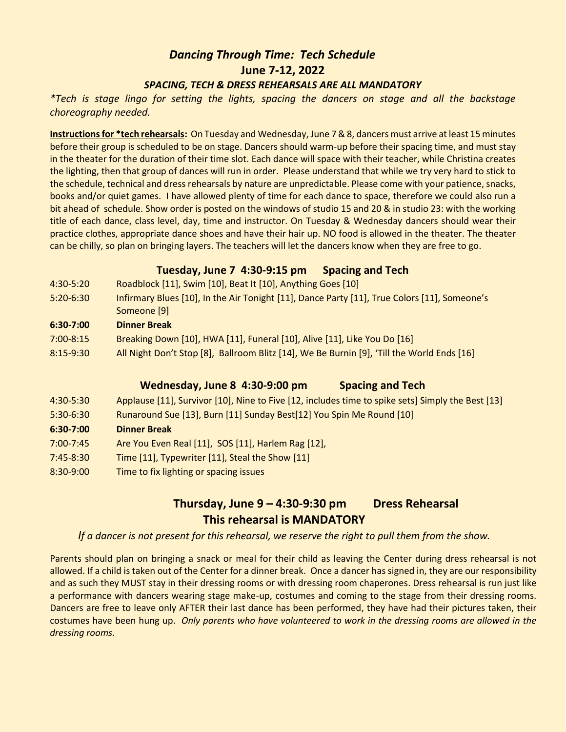# *Dancing Through Time: Tech Schedule* **June 7-12, 2022** *SPACING, TECH & DRESS REHEARSALS ARE ALL MANDATORY*

*\*Tech is stage lingo for setting the lights, spacing the dancers on stage and all the backstage choreography needed.* 

**Instructions for \*tech rehearsals:** On Tuesday and Wednesday, June 7 & 8, dancers must arrive at least 15 minutes before their group is scheduled to be on stage. Dancers should warm-up before their spacing time, and must stay in the theater for the duration of their time slot. Each dance will space with their teacher, while Christina creates the lighting, then that group of dances will run in order. Please understand that while we try very hard to stick to the schedule, technical and dress rehearsals by nature are unpredictable. Please come with your patience, snacks, books and/or quiet games. I have allowed plenty of time for each dance to space, therefore we could also run a bit ahead of schedule. Show order is posted on the windows of studio 15 and 20 & in studio 23: with the working title of each dance, class level, day, time and instructor. On Tuesday & Wednesday dancers should wear their practice clothes, appropriate dance shoes and have their hair up. NO food is allowed in the theater. The theater can be chilly, so plan on bringing layers. The teachers will let the dancers know when they are free to go.

#### **Tuesday, June 7 4:30-9:15 pm Spacing and Tech**

- 4:30-5:20 Roadblock [11], Swim [10], Beat It [10], Anything Goes [10]
- 5:20-6:30 Infirmary Blues [10], In the Air Tonight [11], Dance Party [11], True Colors [11], Someone's Someone [9]
- **6:30-7:00 Dinner Break**
- 7:00-8:15 Breaking Down [10], HWA [11], Funeral [10], Alive [11], Like You Do [16]
- 8:15-9:30 All Night Don't Stop [8], Ballroom Blitz [14], We Be Burnin [9], 'Till the World Ends [16]

## **Wednesday, June 8 4:30-9:00 pm Spacing and Tech**

| 4:30-5:30 | Applause [11], Survivor [10], Nine to Five [12, includes time to spike sets] Simply the Best [13] |
|-----------|---------------------------------------------------------------------------------------------------|
| 5:30-6:30 | Runaround Sue [13], Burn [11] Sunday Best[12] You Spin Me Round [10]                              |
| 6:30-7:00 | <b>Dinner Break</b>                                                                               |
| 7:00-7:45 | Are You Even Real [11], SOS [11], Harlem Rag [12],                                                |
| 7:45-8:30 | Time [11], Typewriter [11], Steal the Show [11]                                                   |
| 8:30-9:00 | Time to fix lighting or spacing issues                                                            |

## **Thursday, June 9 – 4:30-9:30 pm Dress Rehearsal This rehearsal is MANDATORY**

*If a dancer is not present for this rehearsal, we reserve the right to pull them from the show.* 

Parents should plan on bringing a snack or meal for their child as leaving the Center during dress rehearsal is not allowed. If a child is taken out of the Center for a dinner break. Once a dancer has signed in, they are our responsibility and as such they MUST stay in their dressing rooms or with dressing room chaperones. Dress rehearsal is run just like a performance with dancers wearing stage make-up, costumes and coming to the stage from their dressing rooms. Dancers are free to leave only AFTER their last dance has been performed, they have had their pictures taken, their costumes have been hung up. *Only parents who have volunteered to work in the dressing rooms are allowed in the dressing rooms.*